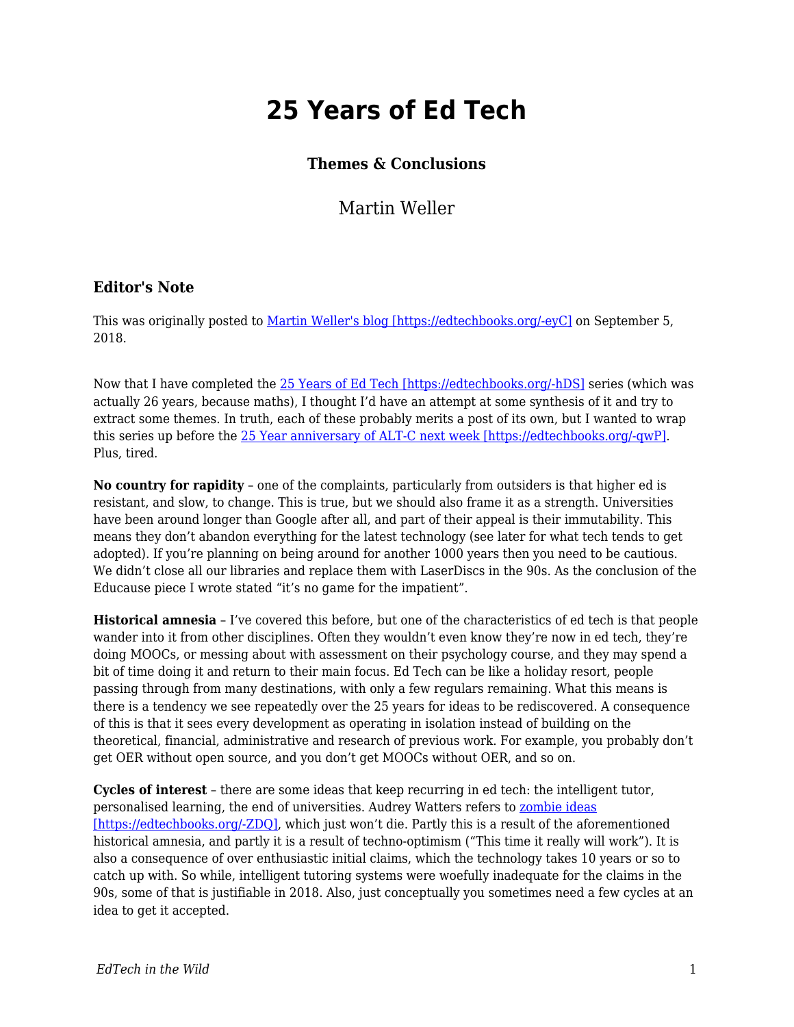## **25 Years of Ed Tech**

## **Themes & Conclusions**

Martin Weller

## **Editor's Note**

This was originally posted to [Martin Weller's blog \[https://edtechbooks.org/-eyC\]](http://blog.edtechie.net/25yearsedtech/25-years-of-ed-tech-themes-conclusions/) on September 5, 2018.

Now that I have completed the [25 Years of Ed Tech \[https://edtechbooks.org/-hDS\]](http://blog.edtechie.net/category/25yearsedtech/) series (which was actually 26 years, because maths), I thought I'd have an attempt at some synthesis of it and try to extract some themes. In truth, each of these probably merits a post of its own, but I wanted to wrap this series up before the [25 Year anniversary of ALT-C next week \[https://edtechbooks.org/-qwP\].](https://altc.alt.ac.uk/blog/2018/09/the-sound-of-altc/) Plus, tired.

**No country for rapidity** – one of the complaints, particularly from outsiders is that higher ed is resistant, and slow, to change. This is true, but we should also frame it as a strength. Universities have been around longer than Google after all, and part of their appeal is their immutability. This means they don't abandon everything for the latest technology (see later for what tech tends to get adopted). If you're planning on being around for another 1000 years then you need to be cautious. We didn't close all our libraries and replace them with LaserDiscs in the 90s. As the conclusion of the Educause piece I wrote stated "it's no game for the impatient".

**Historical amnesia** – I've covered this before, but one of the characteristics of ed tech is that people wander into it from other disciplines. Often they wouldn't even know they're now in ed tech, they're doing MOOCs, or messing about with assessment on their psychology course, and they may spend a bit of time doing it and return to their main focus. Ed Tech can be like a holiday resort, people passing through from many destinations, with only a few regulars remaining. What this means is there is a tendency we see repeatedly over the 25 years for ideas to be rediscovered. A consequence of this is that it sees every development as operating in isolation instead of building on the theoretical, financial, administrative and research of previous work. For example, you probably don't get OER without open source, and you don't get MOOCs without OER, and so on.

**Cycles of interest** – there are some ideas that keep recurring in ed tech: the intelligent tutor, personalised learning, the end of universities. Audrey Watters refers to [zombie ideas](http://2013trends.hackeducation.com/zombies.html) [\[https://edtechbooks.org/-ZDQ\]](http://2013trends.hackeducation.com/zombies.html), which just won't die. Partly this is a result of the aforementioned historical amnesia, and partly it is a result of techno-optimism ("This time it really will work"). It is also a consequence of over enthusiastic initial claims, which the technology takes 10 years or so to catch up with. So while, intelligent tutoring systems were woefully inadequate for the claims in the 90s, some of that is justifiable in 2018. Also, just conceptually you sometimes need a few cycles at an idea to get it accepted.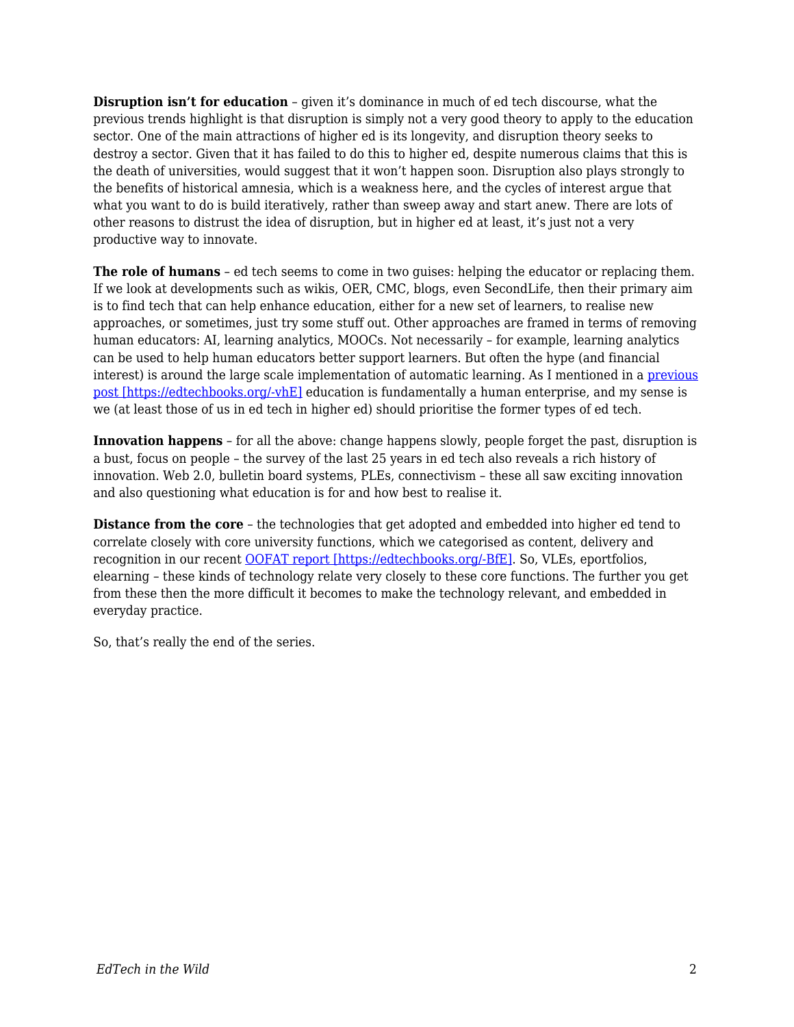**Disruption isn't for education** – given it's dominance in much of ed tech discourse, what the previous trends highlight is that disruption is simply not a very good theory to apply to the education sector. One of the main attractions of higher ed is its longevity, and disruption theory seeks to destroy a sector. Given that it has failed to do this to higher ed, despite numerous claims that this is the death of universities, would suggest that it won't happen soon. Disruption also plays strongly to the benefits of historical amnesia, which is a weakness here, and the cycles of interest argue that what you want to do is build iteratively, rather than sweep away and start anew. There are lots of other reasons to distrust the idea of disruption, but in higher ed at least, it's just not a very productive way to innovate.

**The role of humans** – ed tech seems to come in two guises: helping the educator or replacing them. If we look at developments such as wikis, OER, CMC, blogs, even SecondLife, then their primary aim is to find tech that can help enhance education, either for a new set of learners, to realise new approaches, or sometimes, just try some stuff out. Other approaches are framed in terms of removing human educators: AI, learning analytics, MOOCs. Not necessarily – for example, learning analytics can be used to help human educators better support learners. But often the hype (and financial interest) is around the large scale implementation of automatic learning. As I mentioned in a [previous](http://blog.edtechie.net/25yearsedtech/25-years-of-ed-tech-2016-the-return-of-ai/) [post \[https://edtechbooks.org/-vhE\]](http://blog.edtechie.net/25yearsedtech/25-years-of-ed-tech-2016-the-return-of-ai/) education is fundamentally a human enterprise, and my sense is we (at least those of us in ed tech in higher ed) should prioritise the former types of ed tech.

**Innovation happens** – for all the above: change happens slowly, people forget the past, disruption is a bust, focus on people – the survey of the last 25 years in ed tech also reveals a rich history of innovation. Web 2.0, bulletin board systems, PLEs, connectivism – these all saw exciting innovation and also questioning what education is for and how best to realise it.

**Distance from the core** – the technologies that get adopted and embedded into higher ed tend to correlate closely with core university functions, which we categorised as content, delivery and recognition in our recent [OOFAT report \[https://edtechbooks.org/-BfE\]](http://blog.edtechie.net/research/models-of-online-flexible-learning/). So, VLEs, eportfolios, elearning – these kinds of technology relate very closely to these core functions. The further you get from these then the more difficult it becomes to make the technology relevant, and embedded in everyday practice.

So, that's really the end of the series.